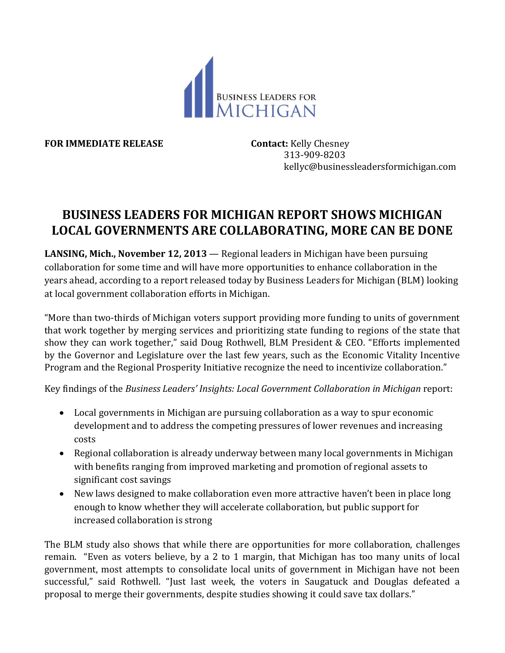

**FOR IMMEDIATE RELEASE Contact:** Kelly Chesney

 313-909-8203 kellyc@businessleadersformichigan.com

## **BUSINESS LEADERS FOR MICHIGAN REPORT SHOWS MICHIGAN LOCAL GOVERNMENTS ARE COLLABORATING, MORE CAN BE DONE**

**LANSING, Mich., November 12, 2013** — Regional leaders in Michigan have been pursuing collaboration for some time and will have more opportunities to enhance collaboration in the years ahead, according to a report released today by Business Leaders for Michigan (BLM) looking at local government collaboration efforts in Michigan.

"More than two-thirds of Michigan voters support providing more funding to units of government that work together by merging services and prioritizing state funding to regions of the state that show they can work together," said Doug Rothwell, BLM President & CEO. "Efforts implemented by the Governor and Legislature over the last few years, such as the Economic Vitality Incentive Program and the Regional Prosperity Initiative recognize the need to incentivize collaboration."

Key findings of the *Business Leaders' Insights: Local Government Collaboration in Michigan* report:

- Local governments in Michigan are pursuing collaboration as a way to spur economic development and to address the competing pressures of lower revenues and increasing costs
- Regional collaboration is already underway between many local governments in Michigan with benefits ranging from improved marketing and promotion of regional assets to significant cost savings
- New laws designed to make collaboration even more attractive haven't been in place long enough to know whether they will accelerate collaboration, but public support for increased collaboration is strong

The BLM study also shows that while there are opportunities for more collaboration, challenges remain. "Even as voters believe, by a 2 to 1 margin, that Michigan has too many units of local government, most attempts to consolidate local units of government in Michigan have not been successful," said Rothwell. "Just last week, the voters in Saugatuck and Douglas defeated a proposal to merge their governments, despite studies showing it could save tax dollars."